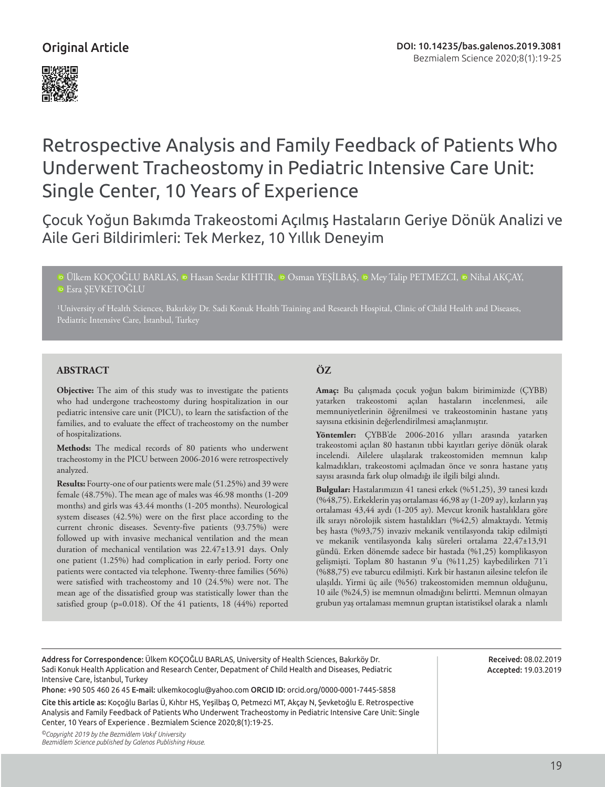

# Retrospective Analysis and Family Feedback of Patients Who Underwent Tracheostomy in Pediatric Intensive Care Unit: Single Center, 10 Years of Experience

Çocuk Yoğun Bakımda Trakeostomi Açılmış Hastaların Geriye Dönük Analizi ve Aile Geri Bildirimleri: Tek Merkez, 10 Yıllık Deneyim

**©Ülkem KOÇOĞLU BARLAS, © Hasan Serdar KIHTIR, © Osman YEŞİLBAŞ, © Mey Talip PETMEZCI, © Nihal AKÇAY,** Esra ŞEVKETOĞLU

1University of Health Sciences, Bakırköy Dr. Sadi Konuk Health Training and Research Hospital, Clinic of Child Health and Diseases,

### **ABSTRACT**

**Objective:** The aim of this study was to investigate the patients who had undergone tracheostomy during hospitalization in our pediatric intensive care unit (PICU), to learn the satisfaction of the families, and to evaluate the effect of tracheostomy on the number of hospitalizations.

**Methods:** The medical records of 80 patients who underwent tracheostomy in the PICU between 2006-2016 were retrospectively analyzed.

**Results:** Fourty-one of our patients were male (51.25%) and 39 were female (48.75%). The mean age of males was 46.98 months (1-209 months) and girls was 43.44 months (1-205 months). Neurological system diseases (42.5%) were on the first place according to the current chronic diseases. Seventy-five patients (93.75%) were followed up with invasive mechanical ventilation and the mean duration of mechanical ventilation was 22.47±13.91 days. Only one patient (1.25%) had complication in early period. Forty one patients were contacted via telephone. Twenty-three families (56%) were satisfied with tracheostomy and 10 (24.5%) were not. The mean age of the dissatisfied group was statistically lower than the satisfied group (p=0.018). Of the 41 patients, 18 (44%) reported

# **ÖZ**

**Amaç:** Bu çalışmada çocuk yoğun bakım birimimizde (ÇYBB) yatarken trakeostomi açılan hastaların incelenmesi, aile memnuniyetlerinin öğrenilmesi ve trakeostominin hastane yatış sayısına etkisinin değerlendirilmesi amaçlanmıştır.

**Yöntemler:** ÇYBB'de 2006-2016 yılları arasında yatarken trakeostomi açılan 80 hastanın tıbbi kayıtları geriye dönük olarak incelendi. Ailelere ulaşılarak trakeostomiden memnun kalıp kalmadıkları, trakeostomi açılmadan önce ve sonra hastane yatış sayısı arasında fark olup olmadığı ile ilgili bilgi alındı.

**Bulgular:** Hastalarımızın 41 tanesi erkek (%51,25), 39 tanesi kızdı (%48,75). Erkeklerin yaş ortalaması 46,98 ay (1-209 ay), kızların yaş ortalaması 43,44 aydı (1-205 ay). Mevcut kronik hastalıklara göre ilk sırayı nörolojik sistem hastalıkları (%42,5) almaktaydı. Yetmiş beş hasta (%93,75) invaziv mekanik ventilasyonda takip edilmişti ve mekanik ventilasyonda kalış süreleri ortalama 22,47±13,91 gündü. Erken dönemde sadece bir hastada (%1,25) komplikasyon gelişmişti. Toplam 80 hastanın 9'u (%11,25) kaybedilirken 71'i (%88,75) eve taburcu edilmişti. Kırk bir hastanın ailesine telefon ile ulaşıldı. Yirmi üç aile (%56) trakeostomiden memnun olduğunu, 10 aile (%24,5) ise memnun olmadığını belirtti. Memnun olmayan grubun yaş ortalaması memnun gruptan istatistiksel olarak a nlamlı

Address for Correspondence: Ülkem KOÇOĞLU BARLAS, University of Health Sciences, Bakırköy Dr. Sadi Konuk Health Application and Research Center, Depatment of Child Health and Diseases, Pediatric Intensive Care, İstanbul, Turkey

Phone: +90 505 460 26 45 E-mail: ulkemkocoglu@yahoo.com ORCID ID: orcid.org/0000-0001-7445-5858

Cite this article as: Koçoğlu Barlas Ü, Kıhtır HS, Yeşilbaş O, Petmezci MT, Akçay N, Şevketoğlu E. Retrospective Analysis and Family Feedback of Patients Who Underwent Tracheostomy in Pediatric Intensive Care Unit: Single Center, 10 Years of Experience . Bezmialem Science 2020;8(1):19-25.

*©Copyright 2019 by the Bezmiâlem Vakıf University Bezmiâlem Science published by Galenos Publishing House.*

Received: 08.02.2019 Accepted: 19.03.2019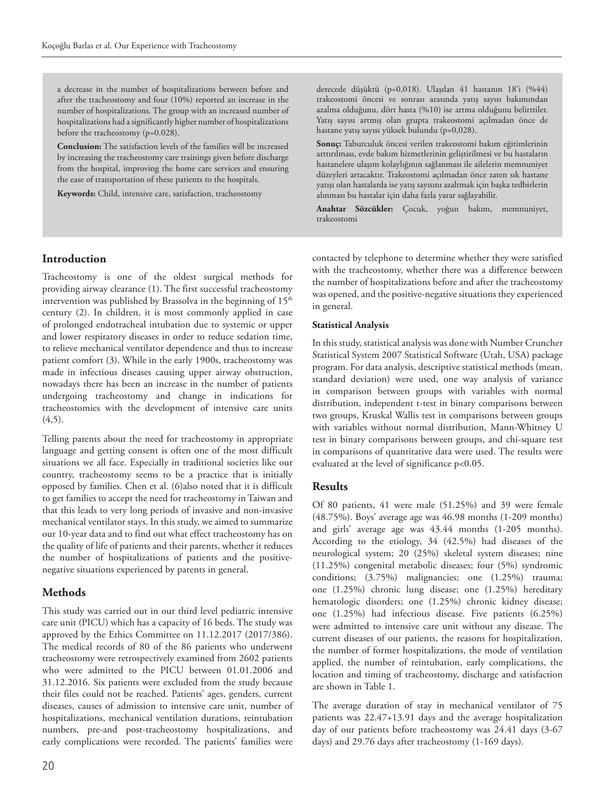a decrease in the number of hospitalizations between before and after the tracheostomy and four (10%) reported an increase in the number of hospitalizations. The group with an increased number of hospitalizations had a significantly higher number of hospitalizations before the tracheostomy (p=0.028).

**Conclusion:** The satisfaction levels of the families will be increased by increasing the tracheostomy care trainings given before discharge from the hospital, improving the home care services and ensuring the ease of transportation of these patients to the hospitals.

**Keywords:** Child, intensive care, satisfaction, tracheostomy

derecede düşüktü (p=0,018). Ulaşılan 41 hastanın 18'i (%44) trakeostomi öncesi ve sonrası arasında yatış sayısı bakımından azalma olduğunu, dört hasta (%10) ise artma olduğunu belirttiler. Yatış sayısı artmış olan grupta trakeostomi açılmadan önce de hastane yatış sayısı yüksek bulundu (p=0,028).

**Sonuç:** Taburculuk öncesi verilen trakeostomi bakım eğitimlerinin arttırılması, evde bakım hizmetlerinin geliştirilmesi ve bu hastaların hastanelere ulaşım kolaylığının sağlanması ile ailelerin memnuniyet düzeyleri artacaktır. Trakeostomi açılmadan önce zaten sık hastane yatışı olan hastalarda ise yatış sayısını azaltmak için başka tedbirlerin alınması bu hastalar için daha fazla yarar sağlayabilir.

**Anahtar Sözcükler:** Çocuk, yoğun bakım, memnuniyet, trakeostomi

## **Introduction**

Tracheostomy is one of the oldest surgical methods for providing airway clearance (1). The first successful tracheostomy intervention was published by Brassolva in the beginning of 15<sup>th</sup> century (2). In children, it is most commonly applied in case of prolonged endotracheal intubation due to systemic or upper and lower respiratory diseases in order to reduce sedation time, to relieve mechanical ventilator dependence and thus to increase patient comfort (3). While in the early 1900s, tracheostomy was made in infectious diseases causing upper airway obstruction, nowadays there has been an increase in the number of patients undergoing tracheostomy and change in indications for tracheostomies with the development of intensive care units  $(4,5)$ .

Telling parents about the need for tracheostomy in appropriate language and getting consent is often one of the most difficult situations we all face. Especially in traditional societies like our country, tracheostomy seems to be a practice that is initially opposed by families. Chen et al. (6)also noted that it is difficult to get families to accept the need for tracheostomy in Taiwan and that this leads to very long periods of invasive and non-invasive mechanical ventilator stays. In this study, we aimed to summarize our 10-year data and to find out what effect tracheostomy has on the quality of life of patients and their parents, whether it reduces the number of hospitalizations of patients and the positivenegative situations experienced by parents in general.

#### **Methods**

This study was carried out in our third level pediatric intensive care unit (PICU) which has a capacity of 16 beds. The study was approved by the Ethics Committee on 11.12.2017 (2017/386). The medical records of 80 of the 86 patients who underwent tracheostomy were retrospectively examined from 2602 patients who were admitted to the PICU between 01.01.2006 and 31.12.2016. Six patients were excluded from the study because their files could not be reached. Patients' ages, genders, current diseases, causes of admission to intensive care unit, number of hospitalizations, mechanical ventilation durations, reintubation numbers, pre-and post-tracheostomy hospitalizations, and early complications were recorded. The patients' families were

contacted by telephone to determine whether they were satisfied with the tracheostomy, whether there was a difference between the number of hospitalizations before and after the tracheostomy was opened, and the positive-negative situations they experienced in general.

#### **Statistical Analysis**

In this study, statistical analysis was done with Number Cruncher Statistical System 2007 Statistical Software (Utah, USA) package program. For data analysis, descriptive statistical methods (mean, standard deviation) were used, one way analysis of variance in comparison between groups with variables with normal distribution, independent t-test in binary comparisons between two groups, Kruskal Wallis test in comparisons between groups with variables without normal distribution, Mann-Whitney U test in binary comparisons between groups, and chi-square test in comparisons of quantitative data were used. The results were evaluated at the level of significance p<0.05.

#### **Results**

Of 80 patients, 41 were male (51.25%) and 39 were female (48.75%). Boys' average age was 46.98 months (1-209 months) and girls' average age was 43.44 months (1-205 months). According to the etiology, 34 (42.5%) had diseases of the neurological system; 20 (25%) skeletal system diseases; nine (11.25%) congenital metabolic diseases; four (5%) syndromic conditions; (3.75%) malignancies; one (1.25%) trauma; one (1.25%) chronic lung disease; one (1.25%) hereditary hematologic disorders; one (1.25%) chronic kidney disease; one (1.25%) had infectious disease. Five patients (6.25%) were admitted to intensive care unit without any disease. The current diseases of our patients, the reasons for hospitalization, the number of former hospitalizations, the mode of ventilation applied, the number of reintubation, early complications, the location and timing of tracheostomy, discharge and satisfaction are shown in Table 1.

The average duration of stay in mechanical ventilator of 75 patients was 22.47+13.91 days and the average hospitalization day of our patients before tracheostomy was 24.41 days (3-67 days) and 29.76 days after tracheostomy (1-169 days).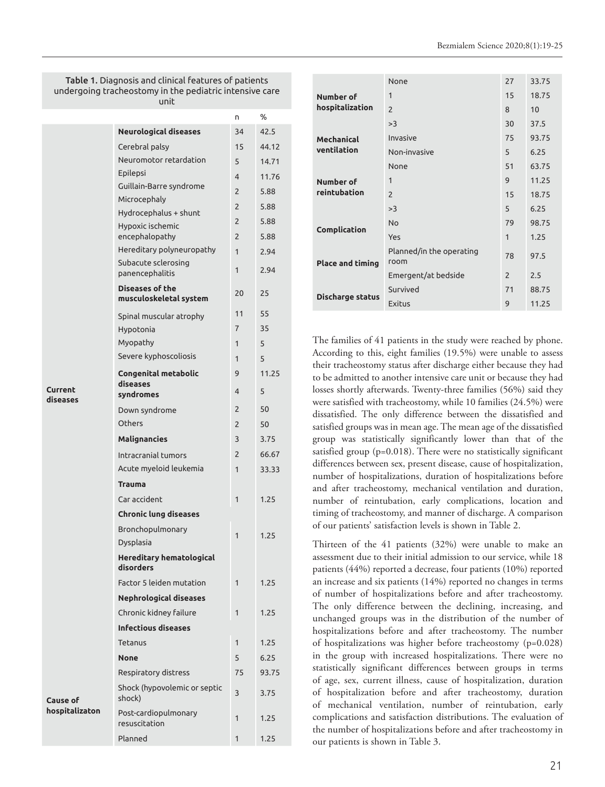Table 1. Diagnosis and clinical features of patients undergoing tracheostomy in the pediatric intensive care unit

|                            |                                                  | U              | %     |  |
|----------------------------|--------------------------------------------------|----------------|-------|--|
|                            | <b>Neurological diseases</b>                     | 34             | 42.5  |  |
|                            | Cerebral palsy                                   | 15             | 44.12 |  |
|                            | Neuromotor retardation                           | 5              | 14.71 |  |
|                            | Epilepsi                                         | $\overline{4}$ | 11.76 |  |
|                            | Guillain-Barre syndrome                          | 2              | 5.88  |  |
|                            | Microcephaly                                     | $\overline{2}$ | 5.88  |  |
|                            | Hydrocephalus + shunt                            | $\overline{2}$ | 5.88  |  |
|                            | Hypoxic ischemic<br>encephalopathy               | $\overline{2}$ | 5.88  |  |
|                            | Hereditary polyneuropathy                        | $\mathbf{1}$   | 2.94  |  |
|                            | Subacute sclerosing<br>panencephalitis           | 1              | 2.94  |  |
|                            | <b>Diseases of the</b><br>musculoskeletal system | 20             | 25    |  |
|                            | Spinal muscular atrophy                          | 11             | 55    |  |
|                            | Hypotonia                                        | 7              | 35    |  |
|                            | Myopathy                                         | $\mathbf{1}$   | 5     |  |
|                            | Severe kyphoscoliosis                            | 1              | 5     |  |
|                            | <b>Congenital metabolic</b><br>diseases          | 9              | 11.25 |  |
| Current                    | syndromes                                        | 4              | 5     |  |
| diseases                   | Down syndrome                                    | $\overline{2}$ | 50    |  |
|                            | Others                                           | $\overline{2}$ | 50    |  |
|                            | <b>Malignancies</b>                              | 3              | 3.75  |  |
|                            | Intracranial tumors                              | 2              | 66.67 |  |
|                            | Acute myeloid leukemia                           | $\mathbf{1}$   | 33.33 |  |
|                            | Trauma                                           |                |       |  |
|                            | Car accident                                     | 1              | 1.25  |  |
|                            | <b>Chronic lung diseases</b>                     |                |       |  |
|                            | Bronchopulmonary                                 |                |       |  |
|                            | Dysplasia                                        | 1              | 1.25  |  |
|                            | <b>Hereditary hematological</b><br>disorders     |                |       |  |
|                            | Factor 5 leiden mutation                         | $\mathbf{1}$   | 1.25  |  |
| Cause of<br>hospitalizaton | <b>Nephrological diseases</b>                    |                |       |  |
|                            | Chronic kidney failure                           | 1              | 1.25  |  |
|                            | <b>Infectious diseases</b>                       |                |       |  |
|                            | Tetanus                                          | $\mathbf{1}$   | 1.25  |  |
|                            | <b>None</b>                                      | 5              | 6.25  |  |
|                            | Respiratory distress                             | 75             | 93.75 |  |
|                            | Shock (hypovolemic or septic<br>shock)           | 3              |       |  |
|                            | Post-cardiopulmonary<br>resuscitation            | 1              | 1.25  |  |
|                            | Planned                                          | 1              | 1.25  |  |
|                            |                                                  |                |       |  |

|                           | None                             | 27            | 33.75 |
|---------------------------|----------------------------------|---------------|-------|
| Number of                 | 1                                | 15            | 18.75 |
| hospitalization           | $\overline{\phantom{0}}$         | 8             | 10    |
|                           | >3                               | 30            | 37.5  |
| Mechanical<br>ventilation | Invasive                         | 75            | 93.75 |
|                           | Non-invasive                     | 5             | 6.25  |
|                           | None                             | 51            | 63.75 |
| Number of<br>reintubation | 1                                | 9             | 11.25 |
|                           | $\overline{2}$                   | 15            | 18.75 |
|                           | >3                               | 5             | 6.25  |
| Complication              | <b>No</b>                        | 79            | 98.75 |
|                           | Yes                              | $\mathbf{1}$  | 1.25  |
| <b>Place and timing</b>   | Planned/in the operating<br>room | 78            | 97.5  |
|                           | Emergent/at bedside              | $\mathcal{P}$ | 2.5   |
| <b>Discharge status</b>   | Survived                         | 71            | 88.75 |
|                           | <b>Exitus</b>                    | 9             | 11.25 |

The families of 41 patients in the study were reached by phone. According to this, eight families (19.5%) were unable to assess their tracheostomy status after discharge either because they had to be admitted to another intensive care unit or because they had losses shortly afterwards. Twenty-three families (56%) said they were satisfied with tracheostomy, while 10 families (24.5%) were dissatisfied. The only difference between the dissatisfied and satisfied groups was in mean age. The mean age of the dissatisfied group was statistically significantly lower than that of the satisfied group (p=0.018). There were no statistically significant differences between sex, present disease, cause of hospitalization, number of hospitalizations, duration of hospitalizations before and after tracheostomy, mechanical ventilation and duration, number of reintubation, early complications, location and timing of tracheostomy, and manner of discharge. A comparison of our patients' satisfaction levels is shown in Table 2.

Thirteen of the 41 patients (32%) were unable to make an assessment due to their initial admission to our service, while 18 patients (44%) reported a decrease, four patients (10%) reported an increase and six patients (14%) reported no changes in terms of number of hospitalizations before and after tracheostomy. The only difference between the declining, increasing, and unchanged groups was in the distribution of the number of hospitalizations before and after tracheostomy. The number of hospitalizations was higher before tracheostomy (p=0.028) in the group with increased hospitalizations. There were no statistically significant differences between groups in terms of age, sex, current illness, cause of hospitalization, duration of hospitalization before and after tracheostomy, duration of mechanical ventilation, number of reintubation, early complications and satisfaction distributions. The evaluation of the number of hospitalizations before and after tracheostomy in our patients is shown in Table 3.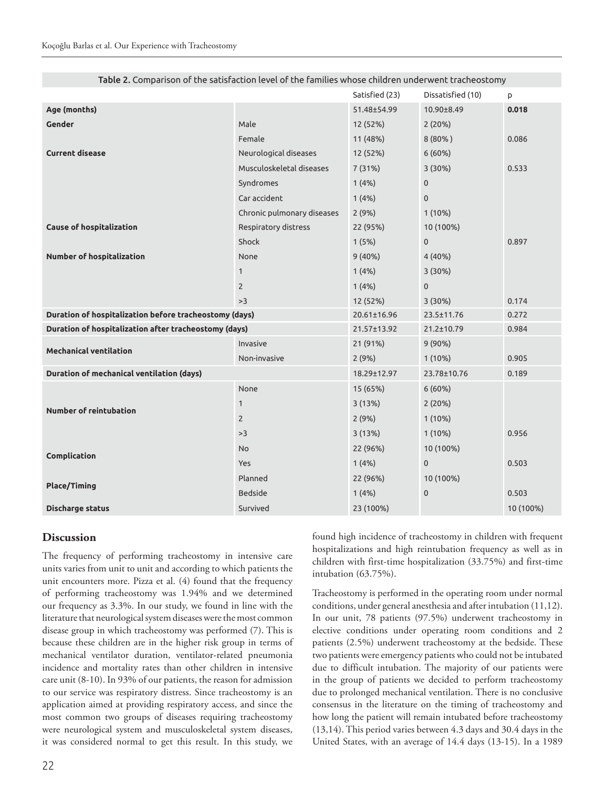|                                                        |                            | Satisfied (23) | Dissatisfied (10) | p         |
|--------------------------------------------------------|----------------------------|----------------|-------------------|-----------|
| Age (months)                                           |                            | 51.48±54.99    | 10.90±8.49        | 0.018     |
| Gender                                                 | Male                       | 12 (52%)       | 2(20%)            |           |
|                                                        | Female                     | 11 (48%)       | $8(80\%)$         | 0.086     |
| <b>Current disease</b>                                 | Neurological diseases      | 12 (52%)       | 6(60%)            |           |
|                                                        | Musculoskeletal diseases   | 7 (31%)        | 3(30%)            | 0.533     |
|                                                        | Syndromes                  | 1(4%)          | $\mathbf 0$       |           |
|                                                        | Car accident               | 1(4%)          | $\mathbf 0$       |           |
|                                                        | Chronic pulmonary diseases | 2(9%)          | 1(10%)            |           |
| <b>Cause of hospitalization</b>                        | Respiratory distress       | 22 (95%)       | 10 (100%)         |           |
|                                                        | Shock                      | 1(5%)          | $\mathbf 0$       | 0.897     |
| <b>Number of hospitalization</b>                       | None                       | 9(40%)         | 4 (40%)           |           |
|                                                        | $\mathbf{1}$               | 1(4%)          | 3(30%)            |           |
|                                                        | $\overline{2}$             | 1(4%)          | $\mathbf 0$       |           |
|                                                        | >3                         | 12 (52%)       | 3(30%)            | 0.174     |
| Duration of hospitalization before tracheostomy (days) |                            | 20.61±16.96    | 23.5±11.76        | 0.272     |
| Duration of hospitalization after tracheostomy (days)  |                            | 21.57±13.92    | 21.2±10.79        | 0.984     |
| <b>Mechanical ventilation</b>                          | Invasive                   | 21 (91%)       | 9 (90%)           |           |
|                                                        | Non-invasive               | 2(9%)          | 1(10%)            | 0.905     |
| Duration of mechanical ventilation (days)              |                            | 18.29±12.97    | 23.78±10.76       | 0.189     |
|                                                        | None                       | 15 (65%)       | 6(60%)            |           |
| <b>Number of reintubation</b>                          | $\mathbf{1}$               | 3(13%)         | 2 (20%)           |           |
|                                                        | $\overline{2}$             | 2(9%)          | $1(10\%)$         |           |
|                                                        | >3                         | 3(13%)         | 1(10%)            | 0.956     |
|                                                        | No                         | 22 (96%)       | 10 (100%)         |           |
| Complication                                           | Yes                        | 1(4%)          | $\mathbf 0$       | 0.503     |
|                                                        | Planned                    | 22 (96%)       | 10 (100%)         |           |
| <b>Place/Timing</b>                                    | <b>Bedside</b>             | 1(4%)          | $\pmb{0}$         | 0.503     |
| <b>Discharge status</b>                                | Survived                   | 23 (100%)      |                   | 10 (100%) |

| Table 2. Comparison of the satisfaction level of the families whose children underwent tracheostomy |  |
|-----------------------------------------------------------------------------------------------------|--|
|-----------------------------------------------------------------------------------------------------|--|

#### **Discussion**

The frequency of performing tracheostomy in intensive care units varies from unit to unit and according to which patients the unit encounters more. Pizza et al. (4) found that the frequency of performing tracheostomy was 1.94% and we determined our frequency as 3.3%. In our study, we found in line with the literature that neurological system diseases were the most common disease group in which tracheostomy was performed (7). This is because these children are in the higher risk group in terms of mechanical ventilator duration, ventilator-related pneumonia incidence and mortality rates than other children in intensive care unit (8-10). In 93% of our patients, the reason for admission to our service was respiratory distress. Since tracheostomy is an application aimed at providing respiratory access, and since the most common two groups of diseases requiring tracheostomy were neurological system and musculoskeletal system diseases, it was considered normal to get this result. In this study, we

found high incidence of tracheostomy in children with frequent hospitalizations and high reintubation frequency as well as in children with first-time hospitalization (33.75%) and first-time intubation (63.75%).

Tracheostomy is performed in the operating room under normal conditions, under general anesthesia and after intubation (11,12). In our unit, 78 patients (97.5%) underwent tracheostomy in elective conditions under operating room conditions and 2 patients (2.5%) underwent tracheostomy at the bedside. These two patients were emergency patients who could not be intubated due to difficult intubation. The majority of our patients were in the group of patients we decided to perform tracheostomy due to prolonged mechanical ventilation. There is no conclusive consensus in the literature on the timing of tracheostomy and how long the patient will remain intubated before tracheostomy (13,14). This period varies between 4.3 days and 30.4 days in the United States, with an average of 14.4 days (13-15). In a 1989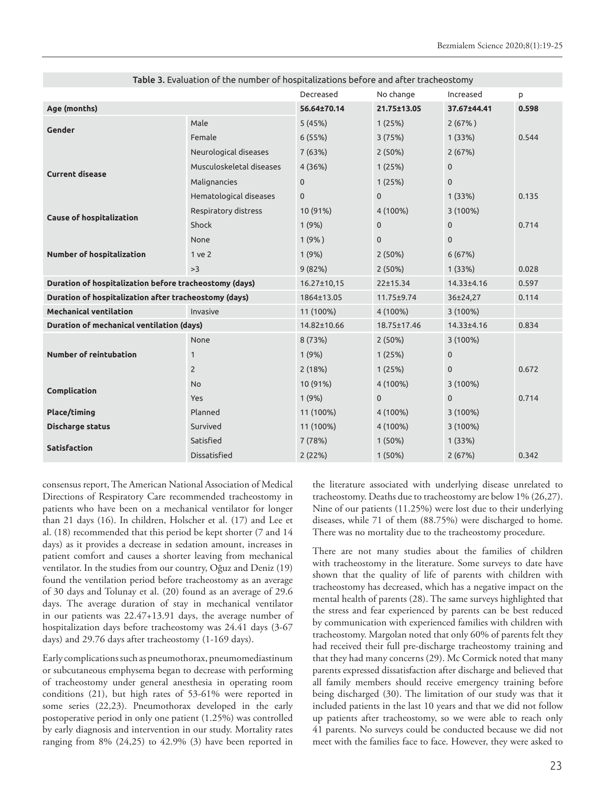|                                                        | rapic 3. Evaluation or the number or nospitalizations before and arter tracheostomy | Decreased    | No change    | Increased    | p     |
|--------------------------------------------------------|-------------------------------------------------------------------------------------|--------------|--------------|--------------|-------|
| Age (months)                                           |                                                                                     | 56.64±70.14  | 21.75±13.05  | 37.67±44.41  | 0.598 |
| Gender                                                 | Male                                                                                | 5(45%)       | 1(25%)       | 2(67%)       |       |
|                                                        | Female                                                                              | 6(55%)       | 3(75%)       | 1(33%)       | 0.544 |
|                                                        | Neurological diseases                                                               | 7(63%)       | 2(50%)       | 2(67%)       |       |
|                                                        | Musculoskeletal diseases                                                            | 4(36%)       | 1(25%)       | $\mathbf{0}$ |       |
| <b>Current disease</b>                                 | Malignancies                                                                        | $\mathbf{0}$ | 1(25%)       | $\mathbf{0}$ |       |
|                                                        | Hematological diseases                                                              | $\mathbf{0}$ | $\mathbf 0$  | 1(33%)       | 0.135 |
|                                                        | Respiratory distress                                                                | 10 (91%)     | 4 (100%)     | 3 (100%)     |       |
| <b>Cause of hospitalization</b>                        | Shock                                                                               | 1(9%)        | $\mathbf{0}$ | $\mathbf{0}$ | 0.714 |
| Number of hospitalization                              | None                                                                                | 1(9% )       | $\mathbf{0}$ | $\mathbf 0$  |       |
|                                                        | 1 ve 2                                                                              | 1(9%)        | 2(50%)       | 6(67%)       |       |
|                                                        | >3                                                                                  | 9(82%)       | 2(50%)       | 1(33%)       | 0.028 |
| Duration of hospitalization before tracheostomy (days) |                                                                                     | 16.27±10,15  | 22±15.34     | 14.33±4.16   | 0.597 |
| Duration of hospitalization after tracheostomy (days)  |                                                                                     | 1864±13.05   | 11.75±9.74   | 36±24,27     | 0.114 |
| <b>Mechanical ventilation</b><br>Invasive              |                                                                                     | 11 (100%)    | 4 (100%)     | 3 (100%)     |       |
| Duration of mechanical ventilation (days)              |                                                                                     | 14.82±10.66  | 18.75±17.46  | 14.33±4.16   | 0.834 |
| <b>Number of reintubation</b>                          | None                                                                                | 8 (73%)      | 2(50%)       | 3 (100%)     |       |
|                                                        | $\mathbf{1}$                                                                        | 1(9%)        | 1(25%)       | $\mathbf 0$  |       |
|                                                        | $\overline{2}$                                                                      | 2(18%)       | 1(25%)       | $\mathbf{0}$ | 0.672 |
| Complication                                           | <b>No</b>                                                                           | 10 (91%)     | 4 (100%)     | 3 (100%)     |       |
|                                                        | Yes                                                                                 | 1(9%)        | $\mathbf 0$  | $\mathbf 0$  | 0.714 |
| Place/timing                                           | Planned                                                                             | 11 (100%)    | 4 (100%)     | 3 (100%)     |       |
| Discharge status                                       | Survived                                                                            | 11 (100%)    | 4 (100%)     | 3 (100%)     |       |
| <b>Satisfaction</b>                                    | Satisfied                                                                           | 7(78%)       | 1(50%)       | 1(33%)       |       |
|                                                        | Dissatisfied                                                                        | 2(22%)       | 1(50%)       | 2(67%)       | 0.342 |

Table 3. Evaluation of the number of hospitalizations before and after tracheostomy

consensus report, The American National Association of Medical Directions of Respiratory Care recommended tracheostomy in patients who have been on a mechanical ventilator for longer than 21 days (16). In children, Holscher et al. (17) and Lee et al. (18) recommended that this period be kept shorter (7 and 14 days) as it provides a decrease in sedation amount, increases in patient comfort and causes a shorter leaving from mechanical ventilator. In the studies from our country, Oğuz and Deniz (19) found the ventilation period before tracheostomy as an average of 30 days and Tolunay et al. (20) found as an average of 29.6 days. The average duration of stay in mechanical ventilator in our patients was 22.47+13.91 days, the average number of hospitalization days before tracheostomy was 24.41 days (3-67 days) and 29.76 days after tracheostomy (1-169 days).

Early complications such as pneumothorax, pneumomediastinum or subcutaneous emphysema began to decrease with performing of tracheostomy under general anesthesia in operating room conditions (21), but high rates of 53-61% were reported in some series (22,23). Pneumothorax developed in the early postoperative period in only one patient (1.25%) was controlled by early diagnosis and intervention in our study. Mortality rates ranging from 8% (24,25) to 42.9% (3) have been reported in the literature associated with underlying disease unrelated to tracheostomy. Deaths due to tracheostomy are below 1% (26,27). Nine of our patients (11.25%) were lost due to their underlying diseases, while 71 of them (88.75%) were discharged to home. There was no mortality due to the tracheostomy procedure.

There are not many studies about the families of children with tracheostomy in the literature. Some surveys to date have shown that the quality of life of parents with children with tracheostomy has decreased, which has a negative impact on the mental health of parents (28). The same surveys highlighted that the stress and fear experienced by parents can be best reduced by communication with experienced families with children with tracheostomy. Margolan noted that only 60% of parents felt they had received their full pre-discharge tracheostomy training and that they had many concerns (29). Mc Cormick noted that many parents expressed dissatisfaction after discharge and believed that all family members should receive emergency training before being discharged (30). The limitation of our study was that it included patients in the last 10 years and that we did not follow up patients after tracheostomy, so we were able to reach only 41 parents. No surveys could be conducted because we did not meet with the families face to face. However, they were asked to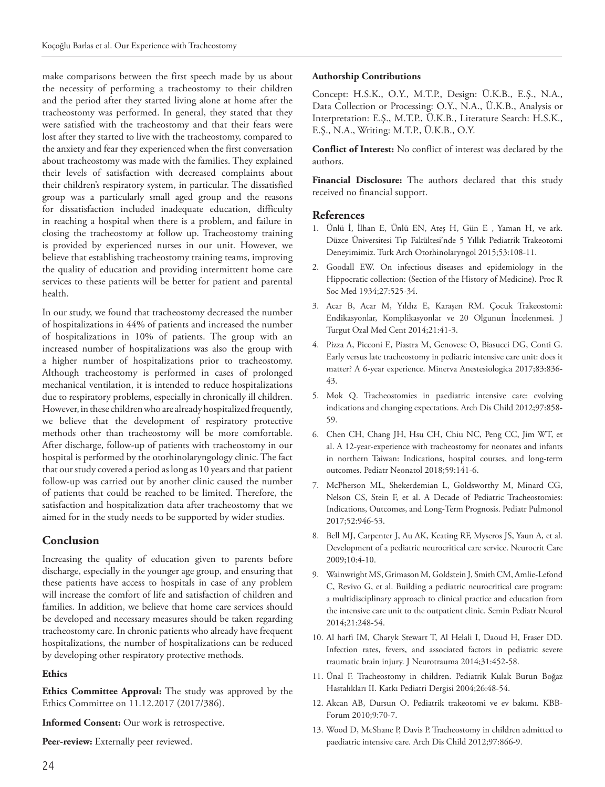make comparisons between the first speech made by us about the necessity of performing a tracheostomy to their children and the period after they started living alone at home after the tracheostomy was performed. In general, they stated that they were satisfied with the tracheostomy and that their fears were lost after they started to live with the tracheostomy, compared to the anxiety and fear they experienced when the first conversation about tracheostomy was made with the families. They explained their levels of satisfaction with decreased complaints about their children's respiratory system, in particular. The dissatisfied group was a particularly small aged group and the reasons for dissatisfaction included inadequate education, difficulty in reaching a hospital when there is a problem, and failure in closing the tracheostomy at follow up. Tracheostomy training is provided by experienced nurses in our unit. However, we believe that establishing tracheostomy training teams, improving the quality of education and providing intermittent home care services to these patients will be better for patient and parental health.

In our study, we found that tracheostomy decreased the number of hospitalizations in 44% of patients and increased the number of hospitalizations in 10% of patients. The group with an increased number of hospitalizations was also the group with a higher number of hospitalizations prior to tracheostomy. Although tracheostomy is performed in cases of prolonged mechanical ventilation, it is intended to reduce hospitalizations due to respiratory problems, especially in chronically ill children. However, in these children who are already hospitalized frequently, we believe that the development of respiratory protective methods other than tracheostomy will be more comfortable. After discharge, follow-up of patients with tracheostomy in our hospital is performed by the otorhinolaryngology clinic. The fact that our study covered a period as long as 10 years and that patient follow-up was carried out by another clinic caused the number of patients that could be reached to be limited. Therefore, the satisfaction and hospitalization data after tracheostomy that we aimed for in the study needs to be supported by wider studies.

## **Conclusion**

Increasing the quality of education given to parents before discharge, especially in the younger age group, and ensuring that these patients have access to hospitals in case of any problem will increase the comfort of life and satisfaction of children and families. In addition, we believe that home care services should be developed and necessary measures should be taken regarding tracheostomy care. In chronic patients who already have frequent hospitalizations, the number of hospitalizations can be reduced by developing other respiratory protective methods.

## **Ethics**

**Ethics Committee Approval:** The study was approved by the Ethics Committee on 11.12.2017 (2017/386).

**Informed Consent:** Our work is retrospective.

Peer-review: Externally peer reviewed.

## **Authorship Contributions**

Concept: H.S.K., O.Y., M.T.P., Design: Ü.K.B., E.Ş., N.A., Data Collection or Processing: O.Y., N.A., Ü.K.B., Analysis or Interpretation: E.Ş., M.T.P., Ü.K.B., Literature Search: H.S.K., E.Ş., N.A., Writing: M.T.P., Ü.K.B., O.Y.

**Conflict of Interest:** No conflict of interest was declared by the authors.

**Financial Disclosure:** The authors declared that this study received no financial support.

## **References**

- 1. Ünlü İ, İlhan E, Ünlü EN, Ateş H, Gün E , Yaman H, ve ark. Düzce Üniversitesi Tıp Fakültesi'nde 5 Yıllık Pediatrik Trakeotomi Deneyimimiz. Turk Arch Otorhinolaryngol 2015;53:108-11.
- 2. Goodall EW. On infectious diseases and epidemiology in the Hippocratic collection: (Section of the History of Medicine). Proc R Soc Med 1934;27:525-34.
- 3. Acar B, Acar M, Yıldız E, Karaşen RM. Çocuk Trakeostomi: Endikasyonlar, Komplikasyonlar ve 20 Olgunun İncelenmesi. J Turgut Ozal Med Cent 2014;21:41-3.
- 4. Pizza A, Picconi E, Piastra M, Genovese O, Biasucci DG, Conti G. Early versus late tracheostomy in pediatric intensive care unit: does it matter? A 6-year experience. Minerva Anestesiologica 2017;83:836- 43.
- 5. Mok Q. Tracheostomies in paediatric intensive care: evolving indications and changing expectations. Arch Dis Child 2012;97:858- 59.
- 6. Chen CH, Chang JH, Hsu CH, Chiu NC, Peng CC, Jim WT, et al. A 12-year-experience with tracheostomy for neonates and infants in northern Taiwan: Indications, hospital courses, and long-term outcomes. Pediatr Neonatol 2018;59:141-6.
- 7. McPherson ML, Shekerdemian L, Goldsworthy M, Minard CG, Nelson CS, Stein F, et al. A Decade of Pediatric Tracheostomies: Indications, Outcomes, and Long-Term Prognosis. Pediatr Pulmonol 2017;52:946-53.
- 8. Bell MJ, Carpenter J, Au AK, Keating RF, Myseros JS, Yaun A, et al. Development of a pediatric neurocritical care service. Neurocrit Care 2009;10:4-10.
- 9. Wainwright MS, Grimason M, Goldstein J, Smith CM, Amlie-Lefond C, Revivo G, et al. Building a pediatric neurocritical care program: a multidisciplinary approach to clinical practice and education from the intensive care unit to the outpatient clinic. Semin Pediatr Neurol 2014;21:248-54.
- 10. Al harfi IM, Charyk Stewart T, Al Helali I, Daoud H, Fraser DD. Infection rates, fevers, and associated factors in pediatric severe traumatic brain injury. J Neurotrauma 2014;31:452-58.
- 11. Ünal F. Tracheostomy in children. Pediatrik Kulak Burun Boğaz Hastalıkları II. Katkı Pediatri Dergisi 2004;26:48-54.
- 12. Akcan AB, Dursun O. Pediatrik trakeotomi ve ev bakımı. KBB-Forum 2010;9:70-7.
- 13. Wood D, McShane P, Davis P. Tracheostomy in children admitted to paediatric intensive care. Arch Dis Child 2012;97:866-9.